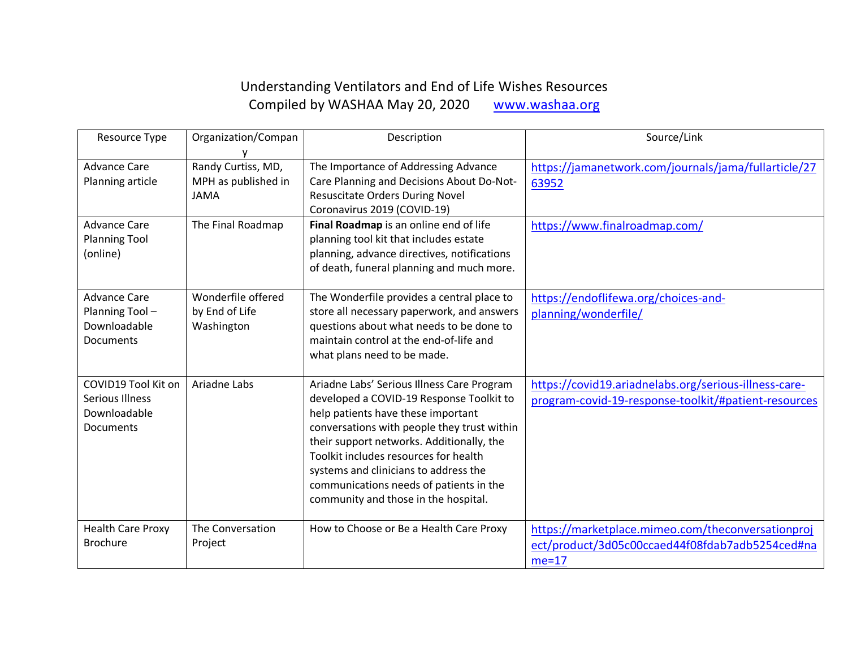## Understanding Ventilators and End of Life Wishes Resources Compiled by WASHAA May 20, 2020 www.washaa.org

| Resource Type                           | Organization/Compan                       | Description                                                                              | Source/Link                                                   |
|-----------------------------------------|-------------------------------------------|------------------------------------------------------------------------------------------|---------------------------------------------------------------|
|                                         |                                           |                                                                                          |                                                               |
| <b>Advance Care</b><br>Planning article | Randy Curtiss, MD,<br>MPH as published in | The Importance of Addressing Advance<br>Care Planning and Decisions About Do-Not-        | https://jamanetwork.com/journals/jama/fullarticle/27<br>63952 |
|                                         | <b>JAMA</b>                               | <b>Resuscitate Orders During Novel</b>                                                   |                                                               |
|                                         |                                           | Coronavirus 2019 (COVID-19)                                                              |                                                               |
| <b>Advance Care</b>                     | The Final Roadmap                         | Final Roadmap is an online end of life                                                   | https://www.finalroadmap.com/                                 |
| <b>Planning Tool</b>                    |                                           | planning tool kit that includes estate                                                   |                                                               |
| (online)                                |                                           | planning, advance directives, notifications<br>of death, funeral planning and much more. |                                                               |
|                                         |                                           |                                                                                          |                                                               |
| <b>Advance Care</b>                     | Wonderfile offered                        | The Wonderfile provides a central place to                                               | https://endoflifewa.org/choices-and-                          |
| Planning Tool-                          | by End of Life                            | store all necessary paperwork, and answers                                               | planning/wonderfile/                                          |
| Downloadable                            | Washington                                | questions about what needs to be done to                                                 |                                                               |
| Documents                               |                                           | maintain control at the end-of-life and<br>what plans need to be made.                   |                                                               |
|                                         |                                           |                                                                                          |                                                               |
| COVID19 Tool Kit on                     | Ariadne Labs                              | Ariadne Labs' Serious Illness Care Program                                               | https://covid19.ariadnelabs.org/serious-illness-care-         |
| <b>Serious Illness</b>                  |                                           | developed a COVID-19 Response Toolkit to                                                 | program-covid-19-response-toolkit/#patient-resources          |
| Downloadable                            |                                           | help patients have these important                                                       |                                                               |
| Documents                               |                                           | conversations with people they trust within<br>their support networks. Additionally, the |                                                               |
|                                         |                                           | Toolkit includes resources for health                                                    |                                                               |
|                                         |                                           | systems and clinicians to address the                                                    |                                                               |
|                                         |                                           | communications needs of patients in the                                                  |                                                               |
|                                         |                                           | community and those in the hospital.                                                     |                                                               |
| <b>Health Care Proxy</b>                | The Conversation                          | How to Choose or Be a Health Care Proxy                                                  | https://marketplace.mimeo.com/theconversationproj             |
| <b>Brochure</b>                         | Project                                   |                                                                                          | ect/product/3d05c00ccaed44f08fdab7adb5254ced#na               |
|                                         |                                           |                                                                                          | $me=17$                                                       |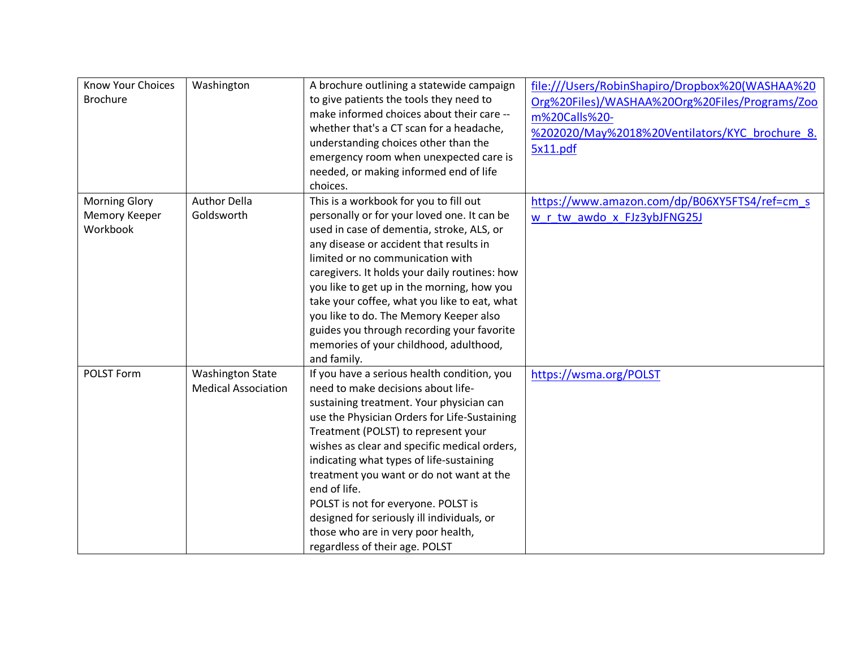| <b>Know Your Choices</b><br><b>Brochure</b>       | Washington                                            | A brochure outlining a statewide campaign<br>to give patients the tools they need to<br>make informed choices about their care --<br>whether that's a CT scan for a headache,<br>understanding choices other than the<br>emergency room when unexpected care is<br>needed, or making informed end of life<br>choices.                                                                                                                                                                                                                     | file:///Users/RobinShapiro/Dropbox%20(WASHAA%20<br>Org%20Files)/WASHAA%20Org%20Files/Programs/Zoo<br>m%20Calls%20-<br>%202020/May%2018%20Ventilators/KYC brochure 8.<br>5x11.pdf |
|---------------------------------------------------|-------------------------------------------------------|-------------------------------------------------------------------------------------------------------------------------------------------------------------------------------------------------------------------------------------------------------------------------------------------------------------------------------------------------------------------------------------------------------------------------------------------------------------------------------------------------------------------------------------------|----------------------------------------------------------------------------------------------------------------------------------------------------------------------------------|
| <b>Morning Glory</b><br>Memory Keeper<br>Workbook | <b>Author Della</b><br>Goldsworth                     | This is a workbook for you to fill out<br>personally or for your loved one. It can be<br>used in case of dementia, stroke, ALS, or<br>any disease or accident that results in<br>limited or no communication with<br>caregivers. It holds your daily routines: how<br>you like to get up in the morning, how you<br>take your coffee, what you like to eat, what<br>you like to do. The Memory Keeper also<br>guides you through recording your favorite<br>memories of your childhood, adulthood,<br>and family.                         | https://www.amazon.com/dp/B06XY5FTS4/ref=cm s<br>w r tw awdo x FJz3ybJFNG25J                                                                                                     |
| POLST Form                                        | <b>Washington State</b><br><b>Medical Association</b> | If you have a serious health condition, you<br>need to make decisions about life-<br>sustaining treatment. Your physician can<br>use the Physician Orders for Life-Sustaining<br>Treatment (POLST) to represent your<br>wishes as clear and specific medical orders,<br>indicating what types of life-sustaining<br>treatment you want or do not want at the<br>end of life.<br>POLST is not for everyone. POLST is<br>designed for seriously ill individuals, or<br>those who are in very poor health,<br>regardless of their age. POLST | https://wsma.org/POLST                                                                                                                                                           |